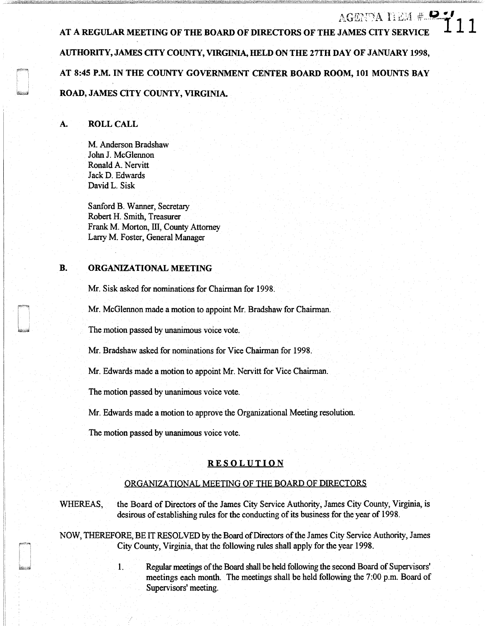# AGENEAL #  $\blacksquare$  AGENEAL #  $\blacksquare$ **AUTHORITY, JAMES OTY COUNTY, VIRGINIA, HELD ON THE 27TH DAY OF JANUARY 1998, AT 8:45 P.M. IN THE COUNTY GOVERNMENT CENTER BOARD ROOM, 101 MOUNTS BAY ROAD, JAMES OTY COUNTY, VIRGINIA.**

# **A. ROLL CALL**

M. Anderson Bradshaw John J. McGlennon Ronald A. Nervitt Jack D. Edwards David L. Sisk

Sanford B. Wanner, Secretary Robert H. Smith, Treasurer Frank M. Morton, III, County Attorney Lany M. Foster, General Manager

## **B. ORGANIZATIONAL MEETING**

Mr. Sisk asked for nominations for Chairman for 1998.

Mr. McGlennon made a motion to appoint Mr. Bradshaw for Chairman.

The motion passed by unanimous voice vote.

Mr. Bradshaw asked for nominations for Vice Chairman for 1998.

Mr. Edwards made a motion to appoint Mr. Nervitt for Vice Chairman.

The motion passed by unanimous voice vote.

Mr. Edwards made a motion to approve the Organizational Meeting resolution.

The motion passed by unanimous voice vote.

### **RESOLUTION**

### ORGANIZATIONAL MEETING OF THE BOARD OF DIRECTORS

WHEREAS, the Board of Directors of the James City Service Authority, James City County, Virginia, is desirous of establishing rules for the conducting of its business for the year of 1998.

NOW, THEREFORE, BE IT RESOLVED by the Board of Directors of the James City Service Authority, James City County, Virginia, that the following rules shall apply for the year 1998.

> 1. Regular meetings of the Board shall be held following the second Board of Supervisors' meetings each month. The meetings shall be held following the 7:00 p.m. Board of Supervisors' meeting.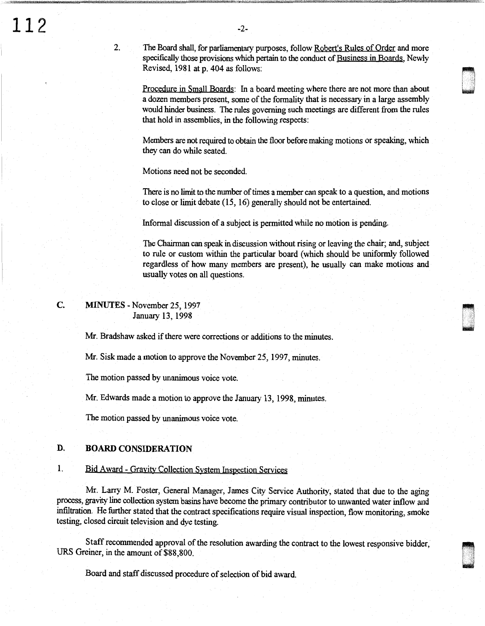The Board shall, for parliamentary purposes, follow Robert's Rules of Order and more specifically those provisions which pertain to the conduct of Business in Boards, Newly Revised, 1981 at p. 404 as follows:

Procedure in Small Boards: In a board meeting where there are not more than about a dozen members present, some of the formality that is necessary in a large assembly would hinder business. The rules governing such meetings are different from the rules that hold in assemblies, in the following respects:

Members are not required to obtain the floor before making motions or speaking, which they can do while seated.

Motions need not be seconded.

There is no limit to the number of times a member can speak to a question, and motions to close or limit debate (15, 16) generally should not be entertained.

Informal discussion of a subject is permitted while no motion is pending.

The Chairman can speak in discussion without rising or leaving the chair; and, subject to rule or custom within the particular board (which should be uniformly followed regardless of how many members are present), he usually can make motions and usually votes on all questions.

c. MINUTES-November 25, 1997 January 13, 1998

2.

Mr. Bradshaw asked if there were corrections or additions to the minutes.

Mr. Sisk made a motion to approve the November 25, 1997, minutes.

The motion passed by unanimous voice vote.

Mr. Edwards made a motion to approve the January 13, 1998, minutes.

The motion passed by unanimous voice vote.

# **D. BOARD CONSIDERATION**

# 1. Bid Award- Gravity Collection System Inspection Services

Mr. Larry M. Foster, General Manager, James City Service Authority, stated that due to the aging process, gravity line collection system basins have become the primacy contributor to unwanted water inflow and infiltration. He further stated that the contract specifications require visual inspection, flow monitoring, smoke testing, closed circuit television and dye testing.

Staff recommended approval of the resolution awarding the contract to the lowest responsive bidder, URS Greiner, in the amount of \$88,800.

'

Board and staff discussed procedure of selection of bid award.